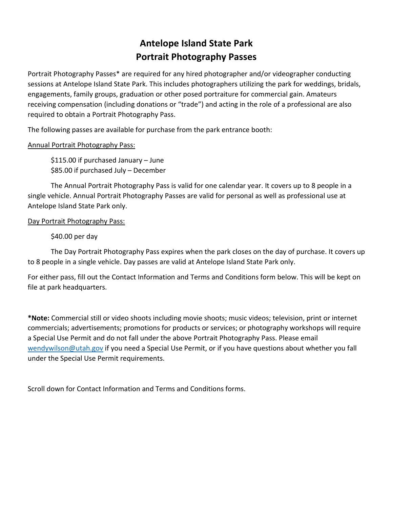# **Antelope Island State Park Portrait Photography Passes**

Portrait Photography Passes\* are required for any hired photographer and/or videographer conducting sessions at Antelope Island State Park. This includes photographers utilizing the park for weddings, bridals, engagements, family groups, graduation or other posed portraiture for commercial gain. Amateurs receiving compensation (including donations or "trade") and acting in the role of a professional are also required to obtain a Portrait Photography Pass.

The following passes are available for purchase from the park entrance booth:

### Annual Portrait Photography Pass:

\$115.00 if purchased January – June \$85.00 if purchased July – December

The Annual Portrait Photography Pass is valid for one calendar year. It covers up to 8 people in a single vehicle. Annual Portrait Photography Passes are valid for personal as well as professional use at Antelope Island State Park only.

### Day Portrait Photography Pass:

### \$40.00 per day

The Day Portrait Photography Pass expires when the park closes on the day of purchase. It covers up to 8 people in a single vehicle. Day passes are valid at Antelope Island State Park only.

For either pass, fill out the Contact Information and Terms and Conditions form below. This will be kept on file at park headquarters.

**\*Note:** Commercial still or video shoots including movie shoots; music videos; television, print or internet commercials; advertisements; promotions for products or services; or photography workshops will require a Special Use Permit and do not fall under the above Portrait Photography Pass. Please email [wendywilson@utah.gov](mailto:wendywilson@utah.gov) if you need a Special Use Permit, or if you have questions about whether you fall under the Special Use Permit requirements.

Scroll down for Contact Information and Terms and Conditions forms.